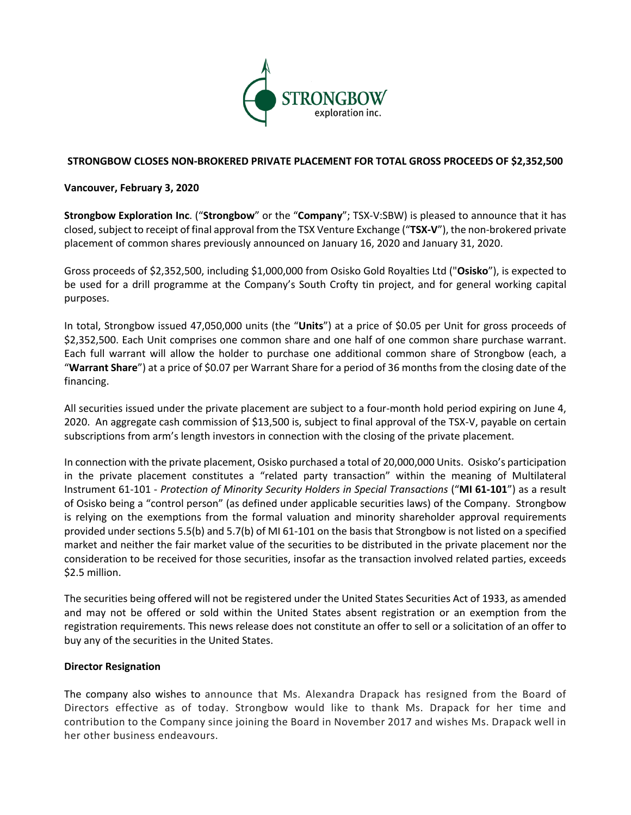

# **STRONGBOW CLOSES NON-BROKERED PRIVATE PLACEMENT FOR TOTAL GROSS PROCEEDS OF \$2,352,500**

# **Vancouver, February 3, 2020**

**Strongbow Exploration Inc**. ("**Strongbow**" or the "**Company**"; TSX-V:SBW) is pleased to announce that it has closed, subject to receipt of final approval from the TSX Venture Exchange ("**TSX-V**"), the non-brokered private placement of common shares previously announced on January 16, 2020 and January 31, 2020.

Gross proceeds of \$2,352,500, including \$1,000,000 from Osisko Gold Royalties Ltd ("**Osisko**"), is expected to be used for a drill programme at the Company's South Crofty tin project, and for general working capital purposes.

In total, Strongbow issued 47,050,000 units (the "**Units**") at a price of \$0.05 per Unit for gross proceeds of \$2,352,500. Each Unit comprises one common share and one half of one common share purchase warrant. Each full warrant will allow the holder to purchase one additional common share of Strongbow (each, a "**Warrant Share**") at a price of \$0.07 per Warrant Share for a period of 36 months from the closing date of the financing.

All securities issued under the private placement are subject to a four-month hold period expiring on June 4, 2020. An aggregate cash commission of \$13,500 is, subject to final approval of the TSX-V, payable on certain subscriptions from arm's length investors in connection with the closing of the private placement.

In connection with the private placement, Osisko purchased a total of 20,000,000 Units. Osisko's participation in the private placement constitutes a "related party transaction" within the meaning of Multilateral Instrument 61-101 - *Protection of Minority Security Holders in Special Transactions* ("**MI 61-101**") as a result of Osisko being a "control person" (as defined under applicable securities laws) of the Company. Strongbow is relying on the exemptions from the formal valuation and minority shareholder approval requirements provided under sections 5.5(b) and 5.7(b) of MI 61-101 on the basis that Strongbow is not listed on a specified market and neither the fair market value of the securities to be distributed in the private placement nor the consideration to be received for those securities, insofar as the transaction involved related parties, exceeds \$2.5 million.

The securities being offered will not be registered under the United States Securities Act of 1933, as amended and may not be offered or sold within the United States absent registration or an exemption from the registration requirements. This news release does not constitute an offer to sell or a solicitation of an offer to buy any of the securities in the United States.

### **Director Resignation**

The company also wishes to announce that Ms. Alexandra Drapack has resigned from the Board of Directors effective as of today. Strongbow would like to thank Ms. Drapack for her time and contribution to the Company since joining the Board in November 2017 and wishes Ms. Drapack well in her other business endeavours.